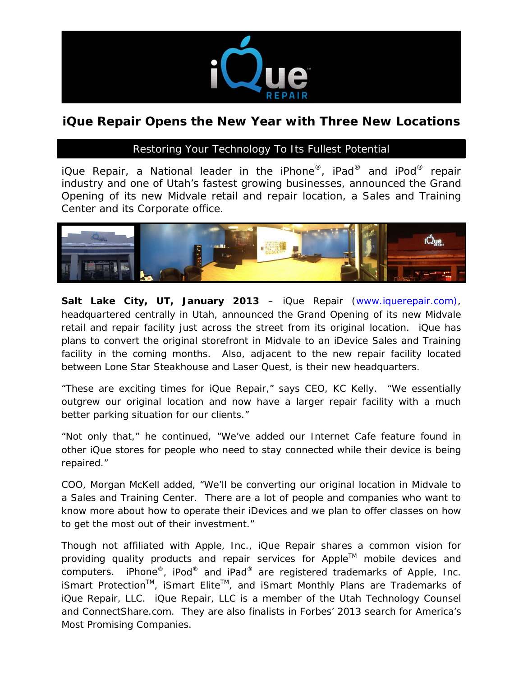

## **iQue Repair Opens the New Year with Three New Locations**

## *Restoring Your Technology To Its Fullest Potential*

*iQue Repair, a National leader in the iPhone®, iPad® and iPod® repair industry and one of Utah's fastest growing businesses, announced the Grand Opening of its new Midvale retail and repair location, a Sales and Training Center and its Corporate office.* 



**Salt Lake City, UT, January 2013** – iQue Repair [\(www.iquerepair.com\)](http://www.iquerepair.com/), headquartered centrally in Utah, announced the Grand Opening of its new Midvale retail and repair facility just across the street from its original location. iQue has plans to convert the original storefront in Midvale to an iDevice Sales and Training facility in the coming months. Also, adjacent to the new repair facility located between Lone Star Steakhouse and Laser Quest, is their new headquarters.

"These are exciting times for iQue Repair," says CEO, KC Kelly. "We essentially outgrew our original location and now have a larger repair facility with a much better parking situation for our clients."

"Not only that," he continued, "We've added our Internet Cafe feature found in other iQue stores for people who need to stay connected while their device is being repaired."

COO, Morgan McKell added, "We'll be converting our original location in Midvale to a Sales and Training Center. There are a lot of people and companies who want to know more about how to operate their iDevices and we plan to offer classes on how to get the most out of their investment."

Though not affiliated with Apple, Inc., iQue Repair shares a common vision for providing quality products and repair services for Apple™ mobile devices and computers. iPhone®, iPod® and iPad® are registered trademarks of Apple, Inc. iSmart Protection<sup>™</sup>, iSmart Elite<sup>™</sup>, and iSmart Monthly Plans are Trademarks of iQue Repair, LLC. iQue Repair, LLC is a member of the Utah Technology Counsel and ConnectShare.com. They are also finalists in Forbes' 2013 search for America's Most Promising Companies.